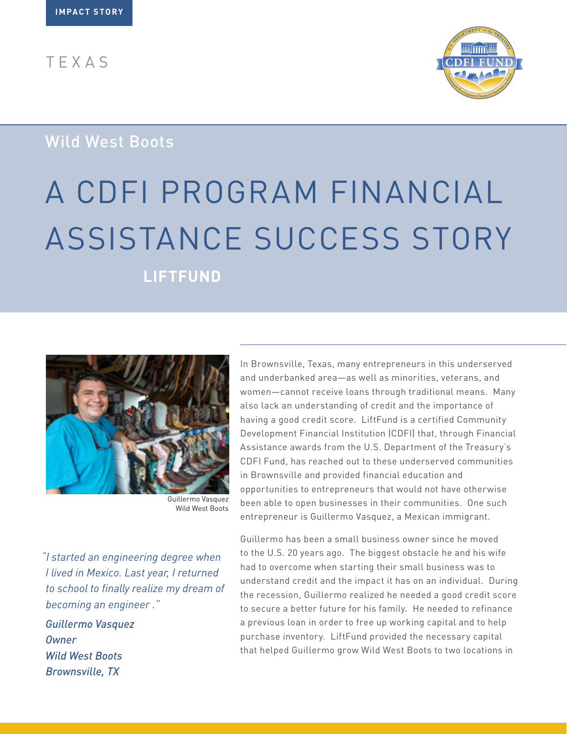TEXAS



## Wild West Boots

# A CDFI PROGRAM FINANCIAL ASSISTANCE SUCCESS STORY

**LIFTFUND**



Guillermo Vasquez Wild West Boots

*"I started an engineering degree when I lived in Mexico. Last year, I returned to school to finally realize my dream of becoming an engineer ."* 

*Guillermo Vasquez Owner Wild West Boots Brownsville, TX*

In Brownsville, Texas, many entrepreneurs in this underserved and underbanked area—as well as minorities, veterans, and women—cannot receive loans through traditional means. Many also lack an understanding of credit and the importance of having a good credit score. LiftFund is a certified Community Development Financial Institution (CDFI) that, through Financial Assistance awards from the U.S. Department of the Treasury's CDFI Fund, has reached out to these underserved communities in Brownsville and provided financial education and opportunities to entrepreneurs that would not have otherwise been able to open businesses in their communities. One such entrepreneur is Guillermo Vasquez, a Mexican immigrant.

Guillermo has been a small business owner since he moved to the U.S. 20 years ago. The biggest obstacle he and his wife had to overcome when starting their small business was to understand credit and the impact it has on an individual. During the recession, Guillermo realized he needed a good credit score to secure a better future for his family. He needed to refinance a previous loan in order to free up working capital and to help purchase inventory. LiftFund provided the necessary capital that helped Guillermo grow Wild West Boots to two locations in